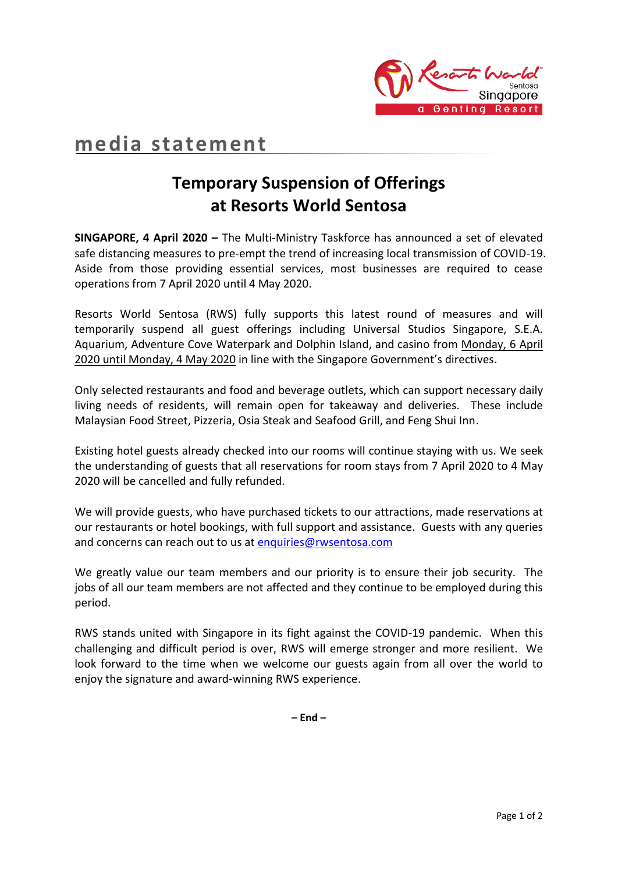

## **media statement**

## **Temporary Suspension of Offerings at Resorts World Sentosa**

**SINGAPORE, 4 April 2020 –** The Multi-Ministry Taskforce has announced a set of elevated safe distancing measures to pre-empt the trend of increasing local transmission of COVID-19. Aside from those providing essential services, most businesses are required to cease operations from 7 April 2020 until 4 May 2020.

Resorts World Sentosa (RWS) fully supports this latest round of measures and will temporarily suspend all guest offerings including Universal Studios Singapore, S.E.A. Aquarium, Adventure Cove Waterpark and Dolphin Island, and casino from Monday, 6 April 2020 until Monday, 4 May 2020 in line with the Singapore Government's directives.

Only selected restaurants and food and beverage outlets, which can support necessary daily living needs of residents, will remain open for takeaway and deliveries. These include Malaysian Food Street, Pizzeria, Osia Steak and Seafood Grill, and Feng Shui Inn.

Existing hotel guests already checked into our rooms will continue staying with us. We seek the understanding of guests that all reservations for room stays from 7 April 2020 to 4 May 2020 will be cancelled and fully refunded.

We will provide guests, who have purchased tickets to our attractions, made reservations at our restaurants or hotel bookings, with full support and assistance. Guests with any queries and concerns can reach out to us at [enquiries@rwsentosa.com](mailto:enquiries@rwsentosa.com)

We greatly value our team members and our priority is to ensure their job security. The jobs of all our team members are not affected and they continue to be employed during this period.

RWS stands united with Singapore in its fight against the COVID-19 pandemic. When this challenging and difficult period is over, RWS will emerge stronger and more resilient. We look forward to the time when we welcome our guests again from all over the world to enjoy the signature and award-winning RWS experience.

**– End –**